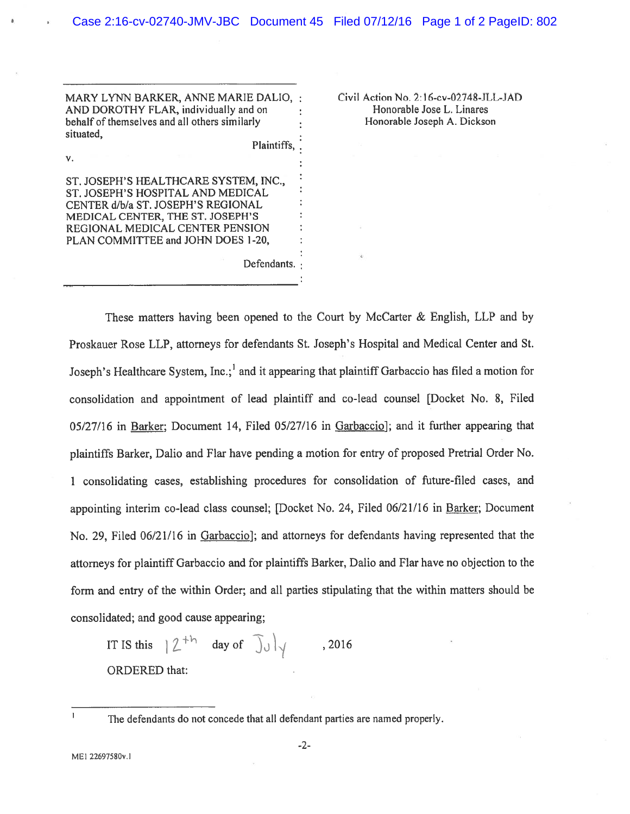MARY LYNN BARKER, ANNE MARIE DALIO, : Civil Action No. 2:16-cv-02748-JLL-JAD AND DOROTHY FLAR, individually and on : Honorable Jose L. Linares behalf of themselves and all others similarly **interespanding the Honorable Joseph A**. Dickson situated,

Plaintiffs,

Defendants.

ST. JOSEPH'S HEALTHCARE SYSTEM, INC., ST. JOSEPH'S HOSPITAL AND MEDICAL CENTER d/b/a ST. JOSEPH'S REGIONAL MEDICAL CENTER, THE ST. JOSEPH'S REGIONAL MEDICAL CENTER PENSION PLAN COMMITTEE and JOHN DOES 1-20,

These matters having been opened to the Court by McCarter & English, LLP and by Proskauer Rose LLP, attorneys for defendants St. Joseph's Hospital and Medical Center and St. Joseph's Healthcare System, Inc.; and it appearing that plaintiff Garbaccio has filed a motion for consolidation and appointment of lead plaintiff and co-lead counsel [Docket No. 8, filed 05/27/16 in Barker; Document 14, Filed 05/27/16 in Garbaccio]; and it further appearing that <sup>p</sup>laintiffs Barker, Dalio and Flar have pending <sup>a</sup> motion for entry of propose<sup>d</sup> Pretrial Order No. <sup>1</sup> consolidating cases, establishing procedures for consolidation of future-filed cases, and appointing interim co-lead class counsel; [Docket No. 24, filed 06/21/16 in Barker; Document No. 29, Filed  $06/21/16$  in Garbaccio]; and attorneys for defendants having represented that the attorneys for <sup>p</sup>laintiff Garbaccio and for <sup>p</sup>laintiffs Barker, Dalio and Flar have no objection to the form and entry of the within Order; and all parties stipulating that the within matters should be consolidated; and good cause appearing;

IT IS this  $|\n\mathcal{Z}^{+h}$  day of  $\int_0^{\infty}$   $\int_0^{\infty}$  , 2016 ORDERED that:

 $\mathbf{I}$ 

V.

The defendants do not concede that all defendant parties are named properly.